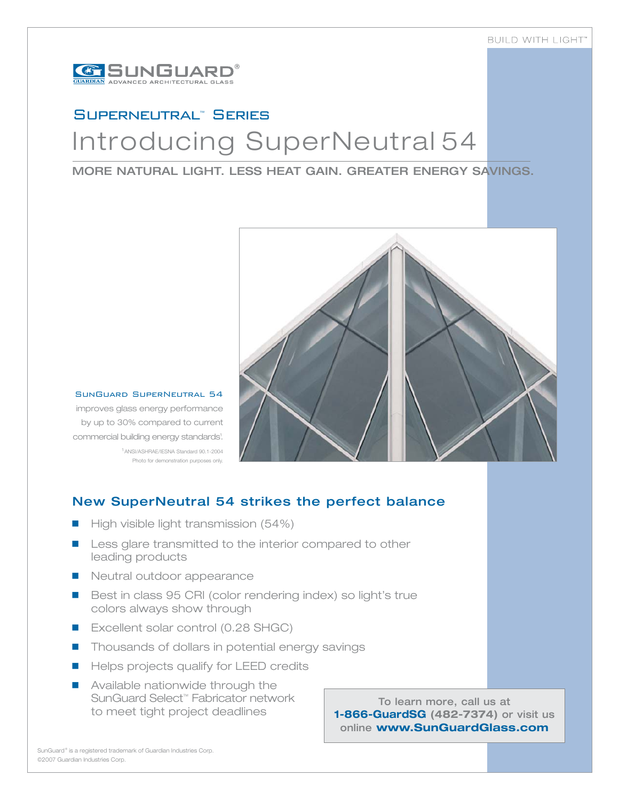

# Superneutral™ SeriesIntroducing SuperNeutral 54

### MORE NATURAL LIGHT. LESS HEAT GAIN. GREATER ENERGY SAVINGS.



### SunGuard SuperNeutral 54

improves glass energy performance by up to 30% compared to current commercial building energy standards<sup>1</sup>. 1ANSI/ASHRAE/IESNA Standard 90.1-2004 Photo for demonstration purposes only.

New SuperNeutral 54 strikes the perfect balance

- -High visible light transmission (54%)
- - Less glare transmitted to the interior compared to other leading products
- **Neutral outdoor appearance**
- **Best in class 95 CRI (color rendering index) so light's true** colors always show through
- Excellent solar control (0.28 SHGC)
- **Thousands of dollars in potential energy savings**
- **E** Helps projects qualify for LEED credits
- **E** Available nationwide through the SunGuard Select™ Fabricator network to meet tight project deadlines

To learn more, call us at **1-866-GuardSG (482-7374)** or visit us online **www.SunGuardGlass.com**

SunGuard® is a registered trademark of Guardian Industries Corp. ©2007 Guardian Industries Corp.